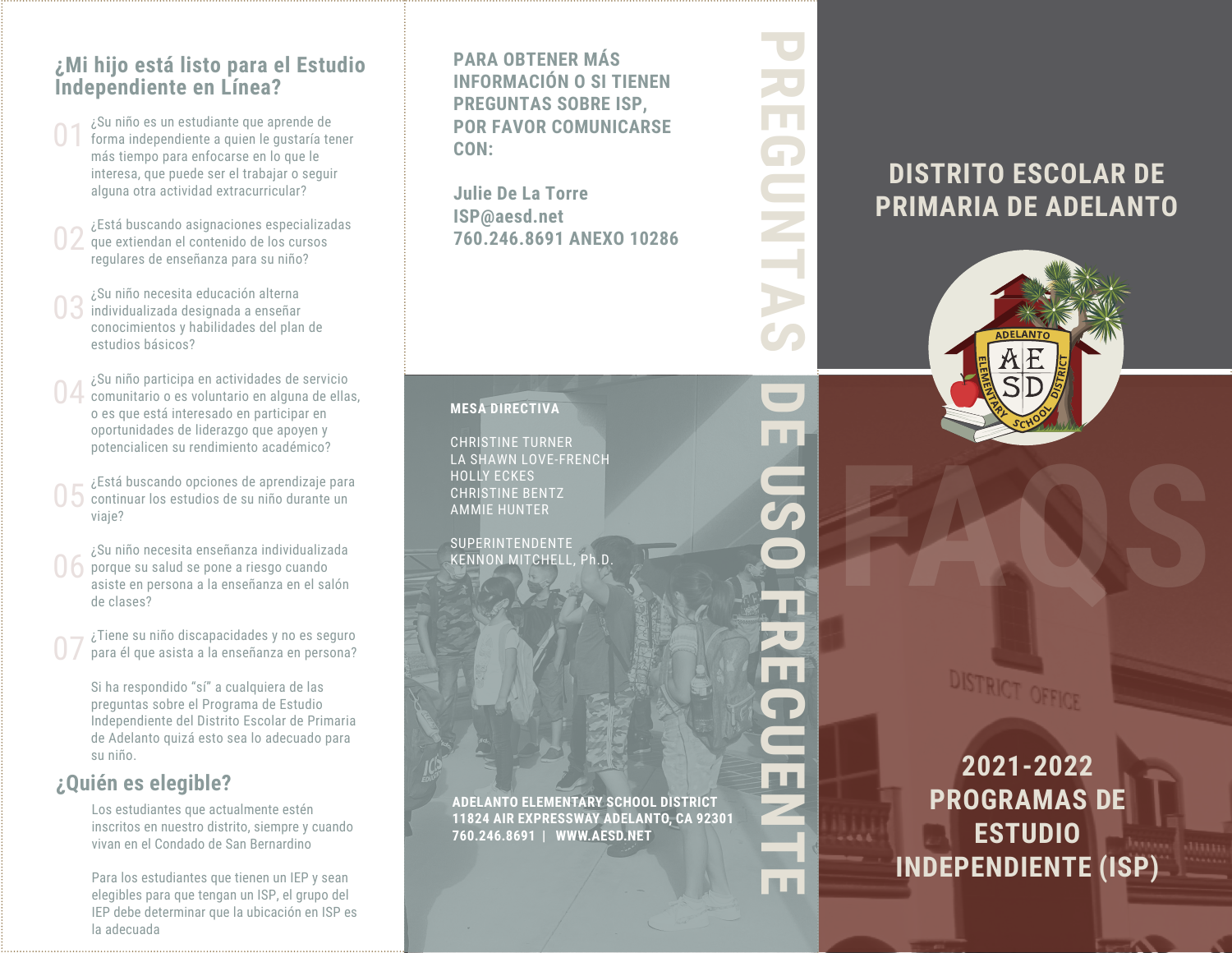#### **¿Mi hijo está listo para el Estudio Independiente en Línea?**

- ¿Su niño es un estudiante que aprende de forma independiente a quien le gustaría tener más tiempo para enfocarse en lo que le interesa, que puede ser el trabajar o seguir alguna otra actividad extracurricular? 01
- ¿Está buscando asignaciones especializadas que extiendan el contenido de los cursos regulares de enseñanza para su niño? 02
- ¿Su niño necesita educación alterna individualizada designada a enseñar conocimientos y habilidades del plan de estudios básicos? 03
- ¿Su niño participa en actividades de servicio comunitario o es voluntario en alguna de ellas, o es que está interesado en participar en oportunidades de liderazgo que apoyen y potencialicen su rendimiento académico? 04
- ¿Está buscando opciones de aprendizaje para continuar los estudios de su niño durante un viaje? 05
- ¿Su niño necesita enseñanza individualizada porque su salud se pone a riesgo cuando asiste en persona a la enseñanza en el salón de clases? 06
- ¿Tiene su niño discapacidades y no es seguro para él que asista a la enseñanza en persona? 07
	- Si ha respondido "sí" a cualquiera de las preguntas sobre el Programa de Estudio Independiente del Distrito Escolar de Primaria de Adelanto quizá esto sea lo adecuado para su niño.

#### **¿Quién es elegible?**

Los estudiantes que actualmente estén inscritos en nuestro distrito, siempre y cuando vivan en el Condado de San Bernardino

Para los estudiantes que tienen un IEP y sean elegibles para que tengan un ISP, el grupo del IEP debe determinar que la ubicación en ISP es la adecuada

**PARA OBTENER MÁS INFORMACIÓN O SI TIENEN PREGUNTAS SOBRE ISP, POR FAVOR COMUNICARSE CON:**

**Julie De La Torre ISP@aesd.net 760.246.8691 ANEXO 10286** **PREGUNTAS**

**COLOR** 

田田

UP.

 $\blacksquare$ 

a,

**DE USO FRECUENTE**

■■

■■

**B** B

i III

#### **MESA DIRECTIVA**

CHRISTINE TURNER LA SHAWN LOVE-FRENCH HOLLY ECKES CHRISTINE BENTZ AMMIE HUNTER

**SUPERINTENDENTE** KENNON MITCHELL, Ph.D.

**DISTRITO ESCOLAR DE PRIMARIA DE ADELANTO**



**2021-2022 PROGRAMAS DE ESTUDIO INDEPENDIENTE (ISP)**

**ADELANTO ELEMENTARY SCHOOL DISTRICT 11824 AIR EXPRESSWAY ADELANTO, CA 92301 760.246.8691 | WWW.AESD.NET**